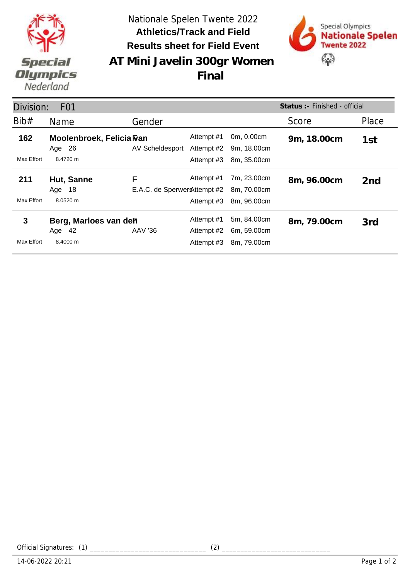

Nationale Spelen Twente 2022 **Results sheet for Field Event Athletics/Track and Field**



**AT Mini Javelin 300gr Women Final**

| Status: - Finished - official<br>Division:<br>F <sub>0</sub> 1 |                                               |                                   |                                        |                                           |             |                 |  |  |  |
|----------------------------------------------------------------|-----------------------------------------------|-----------------------------------|----------------------------------------|-------------------------------------------|-------------|-----------------|--|--|--|
| Bib#                                                           | Name                                          | Gender                            |                                        |                                           | Score       | Place           |  |  |  |
| 162                                                            | Moolenbroek, Felicia Fran<br>Age 26           | AV Scheldesport                   | Attempt #1<br>Attempt #2               | 0m, 0.00cm<br>9m, 18.00cm                 | 9m, 18.00cm | 1st             |  |  |  |
| Max Effort                                                     | 8.4720 m                                      |                                   | Attempt #3                             | 8m, 35.00cm                               |             |                 |  |  |  |
| 211                                                            | Hut, Sanne<br>Age 18                          | F<br>E.A.C. de Sperwer Attempt #2 | Attempt #1                             | 7m, 23.00cm<br>8m, 70.00cm                | 8m, 96.00cm | 2 <sub>nd</sub> |  |  |  |
| Max Effort                                                     | 8.0520 m                                      |                                   | Attempt #3                             | 8m, 96.00cm                               |             |                 |  |  |  |
| 3<br>Max Effort                                                | Berg, Marloes van deh<br>Age $42$<br>8.4000 m | <b>AAV '36</b>                    | Attempt #1<br>Attempt #2<br>Attempt #3 | 5m, 84.00cm<br>6m, 59.00cm<br>8m, 79.00cm | 8m, 79.00cm | 3rd             |  |  |  |

Official Signatures: (1) \_\_\_\_\_\_\_\_\_\_\_\_\_\_\_\_\_\_\_\_\_\_\_\_\_\_\_\_\_\_\_ (2) \_\_\_\_\_\_\_\_\_\_\_\_\_\_\_\_\_\_\_\_\_\_\_\_\_\_\_\_\_